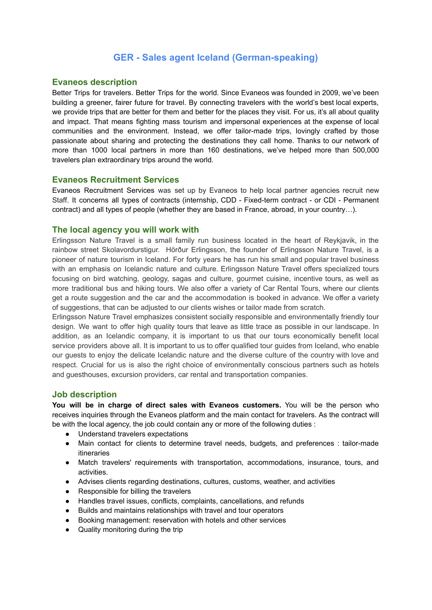# **GER - Sales agent Iceland (German-speaking)**

## **Evaneos description**

Better Trips for travelers. Better Trips for the world. Since Evaneos was founded in 2009, we've been building a greener, fairer future for travel. By connecting travelers with the world's best local experts, we provide trips that are better for them and better for the places they visit. For us, it's all about quality and impact. That means fighting mass tourism and impersonal experiences at the expense of local communities and the environment. Instead, we offer tailor-made trips, lovingly crafted by those passionate about sharing and protecting the destinations they call home. Thanks to our network of more than 1000 local partners in more than 160 destinations, we've helped more than 500,000 travelers plan extraordinary trips around the world.

### **Evaneos Recruitment Services**

Evaneos Recruitment Services was set up by Evaneos to help local partner agencies recruit new Staff. It concerns all types of contracts (internship, CDD - Fixed-term contract - or CDI - Permanent contract) and all types of people (whether they are based in France, abroad, in your country…).

### **The local agency you will work with**

Erlingsson Nature Travel is a small family run business located in the heart of Reykjavik, in the rainbow street Skolavordurstigur. Hörður Erlingsson, the founder of Erlingsson Nature Travel, is a pioneer of nature tourism in Iceland. For forty years he has run his small and popular travel business with an emphasis on Icelandic nature and culture. Erlingsson Nature Travel offers specialized tours focusing on bird watching, geology, sagas and culture, gourmet cuisine, incentive tours, as well as more traditional bus and hiking tours. We also offer a variety of Car Rental Tours, where our clients get a route suggestion and the car and the accommodation is booked in advance. We offer a variety of suggestions, that can be adjusted to our clients wishes or tailor made from scratch.

Erlingsson Nature Travel emphasizes consistent socially responsible and environmentally friendly tour design. We want to offer high quality tours that leave as little trace as possible in our landscape. In addition, as an Icelandic company, it is important to us that our tours economically benefit local service providers above all. It is important to us to offer qualified tour guides from Iceland, who enable our guests to enjoy the delicate Icelandic nature and the diverse culture of the country with love and respect. Crucial for us is also the right choice of environmentally conscious partners such as hotels and guesthouses, excursion providers, car rental and transportation companies.

#### **Job description**

**You will be in charge of direct sales with Evaneos customers.** You will be the person who receives inquiries through the Evaneos platform and the main contact for travelers. As the contract will be with the local agency, the job could contain any or more of the following duties :

- Understand travelers expectations
- Main contact for clients to determine travel needs, budgets, and preferences : tailor-made itineraries
- Match travelers' requirements with transportation, accommodations, insurance, tours, and activities.
- Advises clients regarding destinations, cultures, customs, weather, and activities
- Responsible for billing the travelers
- Handles travel issues, conflicts, complaints, cancellations, and refunds
- Builds and maintains relationships with travel and tour operators
- Booking management: reservation with hotels and other services
- Quality monitoring during the trip